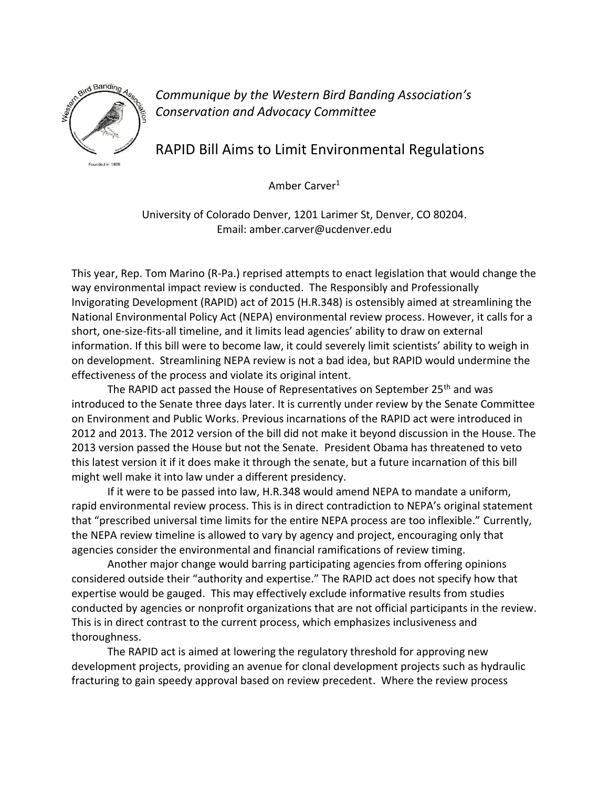

*Communique by the Western Bird Banding Association's Conservation and Advocacy Committee*

RAPID Bill Aims to Limit Environmental Regulations

Amber Carver<sup>1</sup>

University of Colorado Denver, 1201 Larimer St, Denver, CO 80204. Email: amber.carver@ucdenver.edu

This year, Rep. Tom Marino (R-Pa.) reprised attempts to enact legislation that would change the way environmental impact review is conducted. The Responsibly and Professionally Invigorating Development (RAPID) act of 2015 (H.R.348) is ostensibly aimed at streamlining the National Environmental Policy Act (NEPA) environmental review process. However, it calls for a short, one-size-fits-all timeline, and it limits lead agencies' ability to draw on external information. If this bill were to become law, it could severely limit scientists' ability to weigh in on development. Streamlining NEPA review is not a bad idea, but RAPID would undermine the effectiveness of the process and violate its original intent.

The RAPID act passed the House of Representatives on September 25<sup>th</sup> and was introduced to the Senate three days later. It is currently under review by the Senate Committee on Environment and Public Works. Previous incarnations of the RAPID act were introduced in 2012 and 2013. The 2012 version of the bill did not make it beyond discussion in the House. The 2013 version passed the House but not the Senate. President Obama has threatened to veto this latest version it if it does make it through the senate, but a future incarnation of this bill might well make it into law under a different presidency.

If it were to be passed into law, H.R.348 would amend NEPA to mandate a uniform, rapid environmental review process. This is in direct contradiction to NEPA's original statement that "prescribed universal time limits for the entire NEPA process are too inflexible." Currently, the NEPA review timeline is allowed to vary by agency and project, encouraging only that agencies consider the environmental and financial ramifications of review timing.

Another major change would barring participating agencies from offering opinions considered outside their "authority and expertise." The RAPID act does not specify how that expertise would be gauged. This may effectively exclude informative results from studies conducted by agencies or nonprofit organizations that are not official participants in the review. This is in direct contrast to the current process, which emphasizes inclusiveness and thoroughness.

The RAPID act is aimed at lowering the regulatory threshold for approving new development projects, providing an avenue for clonal development projects such as hydraulic fracturing to gain speedy approval based on review precedent. Where the review process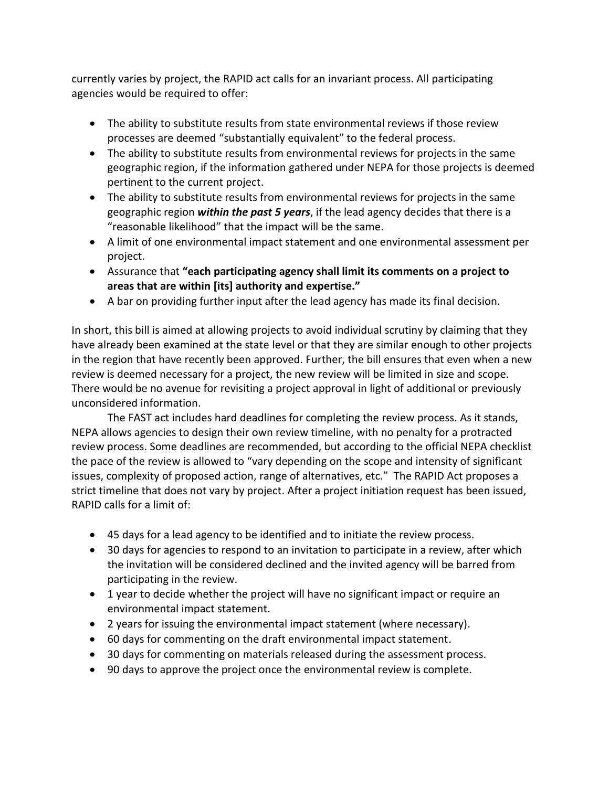currently varies by project, the RAPID act calls for an invariant process. All participating agencies would be required to offer:

- The ability to substitute results from state environmental reviews if those review processes are deemed "substantially equivalent" to the federal process.
- The ability to substitute results from environmental reviews for projects in the same geographic region, if the information gathered under NEPA for those projects is deemed pertinent to the current project.
- The ability to substitute results from environmental reviews for projects in the same geographic region *within the past 5 years*, if the lead agency decides that there is a "reasonable likelihood" that the impact will be the same.
- A limit of one environmental impact statement and one environmental assessment per project.
- Assurance that **"each participating agency shall limit its comments on a project to areas that are within [its] authority and expertise."**
- A bar on providing further input after the lead agency has made its final decision.

In short, this bill is aimed at allowing projects to avoid individual scrutiny by claiming that they have already been examined at the state level or that they are similar enough to other projects in the region that have recently been approved. Further, the bill ensures that even when a new review is deemed necessary for a project, the new review will be limited in size and scope. There would be no avenue for revisiting a project approval in light of additional or previously unconsidered information.

The FAST act includes hard deadlines for completing the review process. As it stands, NEPA allows agencies to design their own review timeline, with no penalty for a protracted review process. Some deadlines are recommended, but according to the official NEPA checklist the pace of the review is allowed to "vary depending on the scope and intensity of significant issues, complexity of proposed action, range of alternatives, etc." The RAPID Act proposes a strict timeline that does not vary by project. After a project initiation request has been issued, RAPID calls for a limit of:

- 45 days for a lead agency to be identified and to initiate the review process.
- 30 days for agencies to respond to an invitation to participate in a review, after which the invitation will be considered declined and the invited agency will be barred from participating in the review.
- 1 year to decide whether the project will have no significant impact or require an environmental impact statement.
- 2 years for issuing the environmental impact statement (where necessary).
- 60 days for commenting on the draft environmental impact statement.
- 30 days for commenting on materials released during the assessment process.
- 90 days to approve the project once the environmental review is complete.